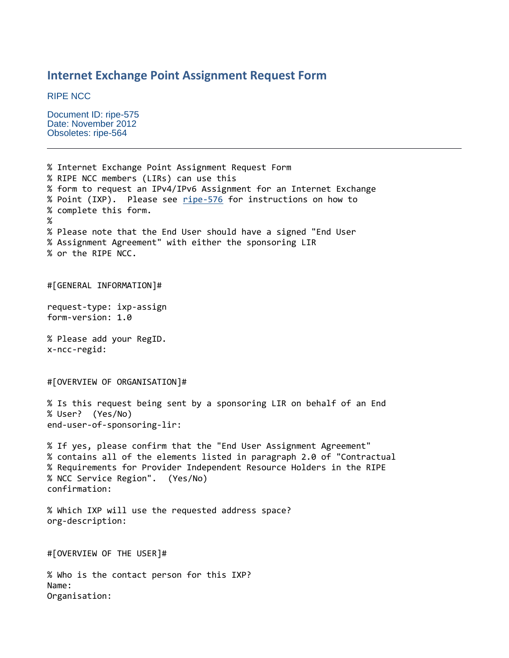## **Internet Exchange Point Assignment Request Form**

RIPE NCC

Document ID: ripe-575 Date: November 2012 Obsoletes: ripe-564

Organisation:

% Internet Exchange Point Assignment Request Form % RIPE NCC members (LIRs) can use this % form to request an IPv4/IPv6 Assignment for an Internet Exchange % Point (IXP). Please see [ripe-576](http://www.ripe.net/ripe/docs/resolveuid/9fa52112-45f2-4888-8d91-0a3ccebdc862) for instructions on how to % complete this form. % % Please note that the End User should have a signed "End User % Assignment Agreement" with either the sponsoring LIR % or the RIPE NCC. #[GENERAL INFORMATION]# request-type: ixp-assign form-version: 1.0 % Please add your RegID. x-ncc-regid: #[OVERVIEW OF ORGANISATION]# % Is this request being sent by a sponsoring LIR on behalf of an End % User? (Yes/No) end-user-of-sponsoring-lir: % If yes, please confirm that the "End User Assignment Agreement" % contains all of the elements listed in paragraph 2.0 of "Contractual % Requirements for Provider Independent Resource Holders in the RIPE % NCC Service Region". (Yes/No) confirmation: % Which IXP will use the requested address space? org-description: #[OVERVIEW OF THE USER]# % Who is the contact person for this IXP? Name: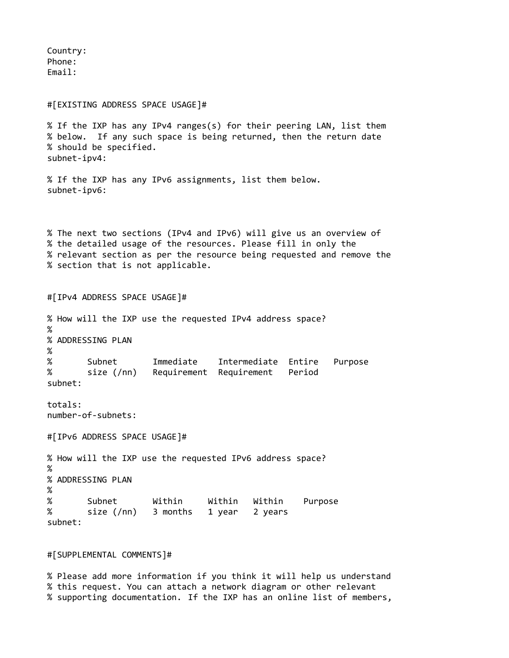Country: Phone: Email:

## #[EXISTING ADDRESS SPACE USAGE]#

% If the IXP has any IPv4 ranges(s) for their peering LAN, list them % below. If any such space is being returned, then the return date % should be specified. subnet-ipv4:

% If the IXP has any IPv6 assignments, list them below. subnet-ipv6:

% The next two sections (IPv4 and IPv6) will give us an overview of % the detailed usage of the resources. Please fill in only the % relevant section as per the resource being requested and remove the % section that is not applicable.

#[IPv4 ADDRESS SPACE USAGE]# % How will the IXP use the requested IPv4 address space? % % ADDRESSING PLAN % % Subnet Immediate Intermediate Entire Purpose % size (/nn) Requirement Requirement Period subnet: totals: number-of-subnets: #[IPv6 ADDRESS SPACE USAGE]# % How will the IXP use the requested IPv6 address space? % % ADDRESSING PLAN % % Subnet Within Within Within Purpose % size (/nn) 3 months 1 year 2 years subnet:

## #[SUPPLEMENTAL COMMENTS]#

% Please add more information if you think it will help us understand % this request. You can attach a network diagram or other relevant % supporting documentation. If the IXP has an online list of members,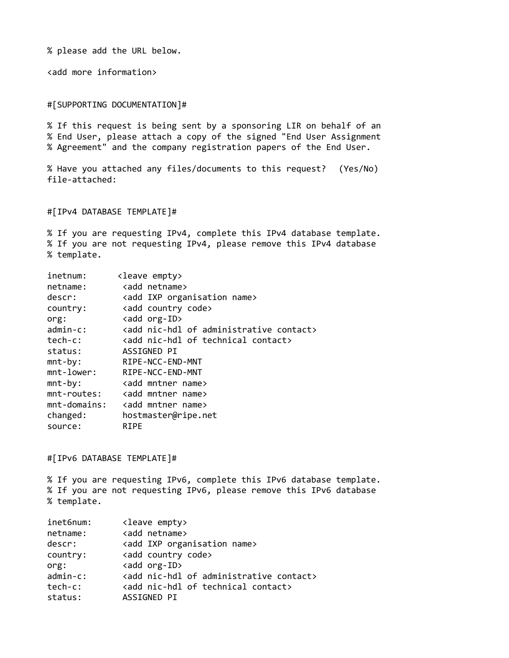% please add the URL below.

<add more information>

#[SUPPORTING DOCUMENTATION]#

% If this request is being sent by a sponsoring LIR on behalf of an % End User, please attach a copy of the signed "End User Assignment % Agreement" and the company registration papers of the End User.

% Have you attached any files/documents to this request? (Yes/No) file-attached:

#[IPv4 DATABASE TEMPLATE]#

% If you are requesting IPv4, complete this IPv4 database template. % If you are not requesting IPv4, please remove this IPv4 database % template.

| inetnum:    | <leave empty=""></leave>                                  |  |  |  |
|-------------|-----------------------------------------------------------|--|--|--|
| netname:    | <add netname=""></add>                                    |  |  |  |
| descr:      | <add ixp="" name="" organisation=""></add>                |  |  |  |
| country:    | <add code="" country=""></add>                            |  |  |  |
| org:        | <add org-id=""></add>                                     |  |  |  |
| $admin-c$ : | <add administrative="" contact="" nic-hdl="" of=""></add> |  |  |  |
| tech-c:     | <add contact="" nic-hdl="" of="" technical=""></add>      |  |  |  |
| status:     | ASSIGNED PI                                               |  |  |  |
| $mnt-by:$   | RIPE-NCC-END-MNT                                          |  |  |  |
|             | mnt-lower: RIPE-NCC-END-MNT                               |  |  |  |
| $mnt-by:$   | <add mntner="" name=""></add>                             |  |  |  |
| mnt-routes: | <add mntner="" name=""></add>                             |  |  |  |
|             | mnt-domains: <add mntner="" name=""></add>                |  |  |  |
| changed:    | hostmaster@ripe.net                                       |  |  |  |
| source:     | <b>RIPE</b>                                               |  |  |  |

#[IPv6 DATABASE TEMPLATE]#

% If you are requesting IPv6, complete this IPv6 database template. % If you are not requesting IPv6, please remove this IPv6 database % template.

| inet6num:   |                                                           |
|-------------|-----------------------------------------------------------|
|             | <leave empty=""></leave>                                  |
| netname:    | <add netname=""></add>                                    |
| descr:      | <add ixp="" name="" organisation=""></add>                |
| country:    | <add code="" country=""></add>                            |
| org:        | <add org-id=""></add>                                     |
| $admin-c$ : | <add administrative="" contact="" nic-hdl="" of=""></add> |
| tech-c:     | <add contact="" nic-hdl="" of="" technical=""></add>      |
| status:     | ASSIGNED PI                                               |